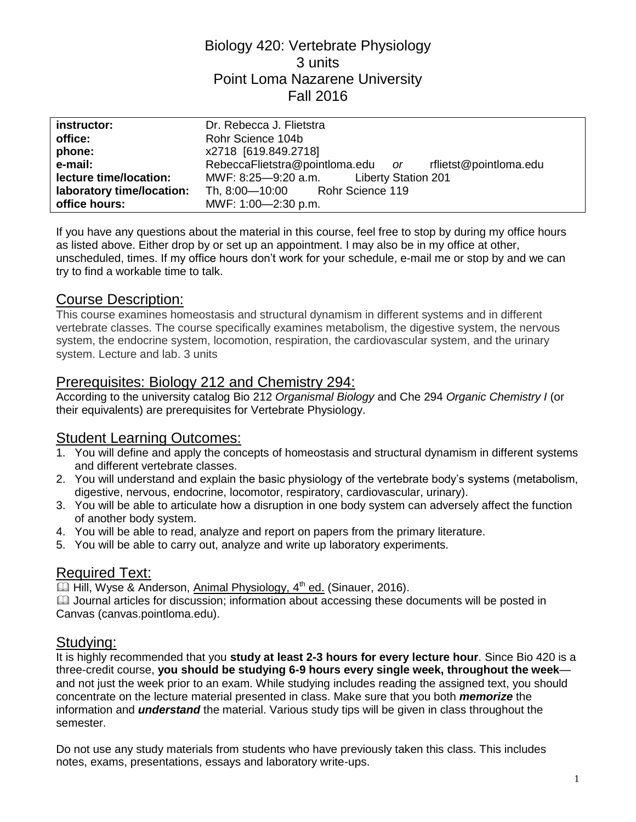## Biology 420: Vertebrate Physiology 3 units Point Loma Nazarene University Fall 2016

| instructor:               | Dr. Rebecca J. Flietstra                                 |  |  |
|---------------------------|----------------------------------------------------------|--|--|
| office:                   | Rohr Science 104b                                        |  |  |
| phone:                    | x2718 [619.849.2718]                                     |  |  |
| e-mail:                   | RebeccaFlietstra@pointloma.edu or rflietst@pointloma.edu |  |  |
| lecture time/location:    | MWF: 8:25-9:20 a.m. Liberty Station 201                  |  |  |
| laboratory time/location: | Th, 8:00-10:00 Rohr Science 119                          |  |  |
| office hours:             | MWF: 1:00-2:30 p.m.                                      |  |  |

If you have any questions about the material in this course, feel free to stop by during my office hours as listed above. Either drop by or set up an appointment. I may also be in my office at other, unscheduled, times. If my office hours don't work for your schedule, e-mail me or stop by and we can try to find a workable time to talk.

### Course Description:

This course examines homeostasis and structural dynamism in different systems and in different vertebrate classes. The course specifically examines metabolism, the digestive system, the nervous system, the endocrine system, locomotion, respiration, the cardiovascular system, and the urinary system. Lecture and lab. 3 units

### Prerequisites: Biology 212 and Chemistry 294:

According to the university catalog Bio 212 *Organismal Biology* and Che 294 *Organic Chemistry I* (or their equivalents) are prerequisites for Vertebrate Physiology.

### Student Learning Outcomes:

- 1. You will define and apply the concepts of homeostasis and structural dynamism in different systems and different vertebrate classes.
- 2. You will understand and explain the basic physiology of the vertebrate body's systems (metabolism, digestive, nervous, endocrine, locomotor, respiratory, cardiovascular, urinary).
- 3. You will be able to articulate how a disruption in one body system can adversely affect the function of another body system.
- 4. You will be able to read, analyze and report on papers from the primary literature.
- 5. You will be able to carry out, analyze and write up laboratory experiments.

# Required Text:

**E** Hill, Wyse & Anderson, Animal Physiology, 4<sup>th</sup> ed. (Sinauer, 2016).

 $\Box$  Journal articles for discussion; information about accessing these documents will be posted in Canvas (canvas.pointloma.edu).

### Studying:

It is highly recommended that you **study at least 2-3 hours for every lecture hour**. Since Bio 420 is a three-credit course, **you should be studying 6-9 hours every single week, throughout the week** and not just the week prior to an exam. While studying includes reading the assigned text, you should concentrate on the lecture material presented in class. Make sure that you both *memorize* the information and *understand* the material. Various study tips will be given in class throughout the semester.

Do not use any study materials from students who have previously taken this class. This includes notes, exams, presentations, essays and laboratory write-ups.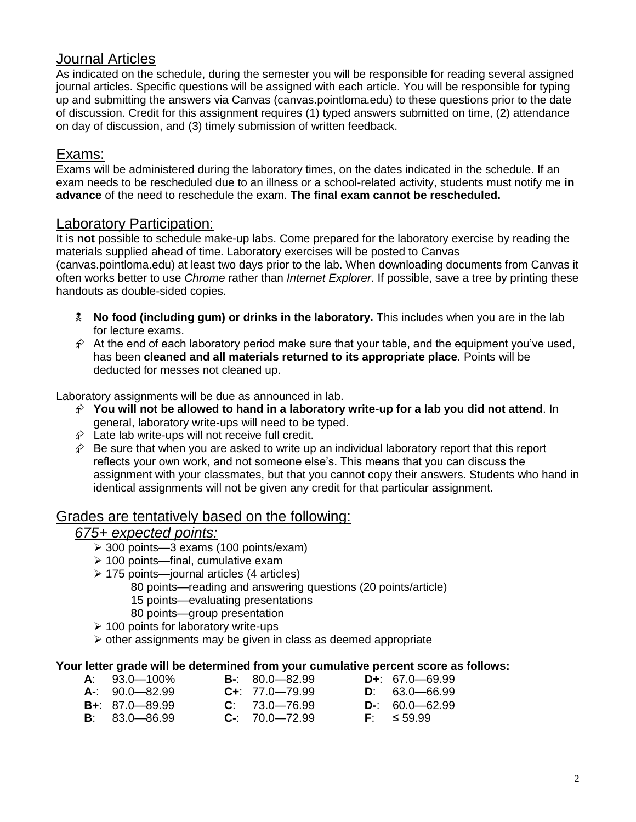### Journal Articles

As indicated on the schedule, during the semester you will be responsible for reading several assigned journal articles. Specific questions will be assigned with each article. You will be responsible for typing up and submitting the answers via Canvas (canvas.pointloma.edu) to these questions prior to the date of discussion. Credit for this assignment requires (1) typed answers submitted on time, (2) attendance on day of discussion, and (3) timely submission of written feedback.

#### Exams:

Exams will be administered during the laboratory times, on the dates indicated in the schedule. If an exam needs to be rescheduled due to an illness or a school-related activity, students must notify me **in advance** of the need to reschedule the exam. **The final exam cannot be rescheduled.**

#### Laboratory Participation:

It is **not** possible to schedule make-up labs. Come prepared for the laboratory exercise by reading the materials supplied ahead of time. Laboratory exercises will be posted to Canvas

(canvas.pointloma.edu) at least two days prior to the lab. When downloading documents from Canvas it often works better to use *Chrome* rather than *Internet Explorer*. If possible, save a tree by printing these handouts as double-sided copies.

- **No food (including gum) or drinks in the laboratory.** This includes when you are in the lab for lecture exams.
- $\hat{\varphi}$  At the end of each laboratory period make sure that your table, and the equipment you've used, has been **cleaned and all materials returned to its appropriate place**. Points will be deducted for messes not cleaned up.

Laboratory assignments will be due as announced in lab.

- **You will not be allowed to hand in a laboratory write-up for a lab you did not attend**. In general, laboratory write-ups will need to be typed.
- $\hat{\varphi}$  Late lab write-ups will not receive full credit.
- $\hat{\mathcal{C}}$  Be sure that when you are asked to write up an individual laboratory report that this report reflects your own work, and not someone else's. This means that you can discuss the assignment with your classmates, but that you cannot copy their answers. Students who hand in identical assignments will not be given any credit for that particular assignment.

#### Grades are tentatively based on the following:

### *675+ expected points:*

- 300 points—3 exams (100 points/exam)
- $\geq 100$  points—final, cumulative exam
- 175 points—journal articles (4 articles)
	- 80 points—reading and answering questions (20 points/article)
	- 15 points—evaluating presentations
	- 80 points—group presentation
- $\geq 100$  points for laboratory write-ups
- $\triangleright$  other assignments may be given in class as deemed appropriate

#### **Your letter grade will be determined from your cumulative percent score as follows:**

| $A: 93.0 - 100\%$  | $B - 80.0 - 82.99$     | $D_{+}$ : 67.0 - 69.99 |
|--------------------|------------------------|------------------------|
| $A = 90.0 - 82.99$ | $C_{\pm}$ : 77.0-79.99 | $D: 63.0 - 66.99$      |
| $B + 87.0 - 89.99$ | $C: 73.0 - 76.99$      | $D - 60.0 - 62.99$     |
| $B: 83.0 - 86.99$  | $C-$ : 70.0-72.99      | $F = 59.99$            |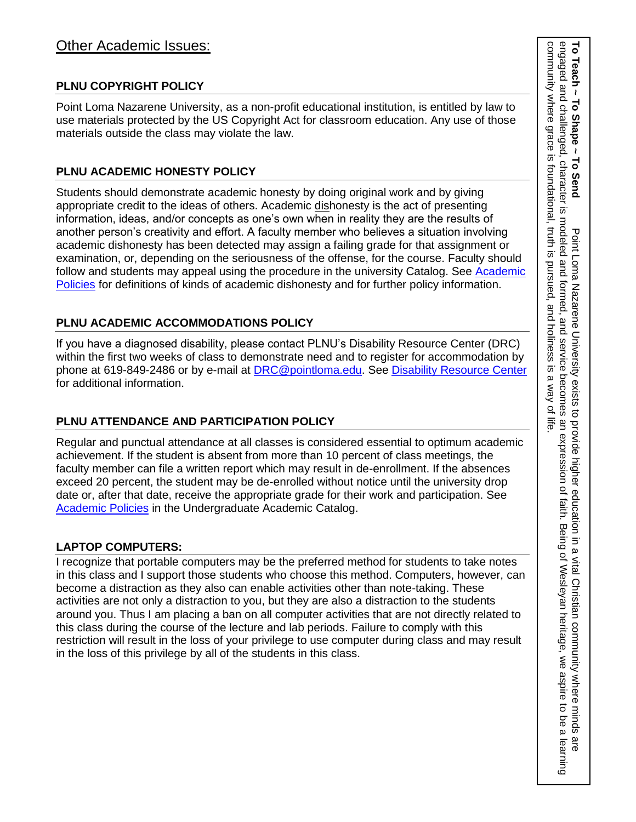### **PLNU COPYRIGHT POLICY**

Point Loma Nazarene University, as a non-profit educational institution, is entitled by law to use materials protected by the US Copyright Act for classroom education. Any use of those materials outside the class may violate the law.

### **PLNU ACADEMIC HONESTY POLICY**

Students should demonstrate academic honesty by doing original work and by giving appropriate credit to the ideas of others. Academic dishonesty is the act of presenting information, ideas, and/or concepts as one's own when in reality they are the results of another person's creativity and effort. A faculty member who believes a situation involving academic dishonesty has been detected may assign a failing grade for that assignment or examination, or, depending on the seriousness of the offense, for the course. Faculty should follow and students may appeal using the procedure in the university Catalog. See [Academic](http://catalog.pointloma.edu/content.php?catoid=18&navoid=1278)  [Policies](http://catalog.pointloma.edu/content.php?catoid=18&navoid=1278) for definitions of kinds of academic dishonesty and for further policy information.

### **PLNU ACADEMIC ACCOMMODATIONS POLICY**

If you have a diagnosed disability, please contact PLNU's Disability Resource Center (DRC) within the first two weeks of class to demonstrate need and to register for accommodation by phone at 619-849-2486 or by e-mail at **DRC@pointloma.edu.** See [Disability Resource Center](http://www.pointloma.edu/experience/offices/administrative-offices/academic-advising-office/disability-resource-center) for additional information.

### **PLNU ATTENDANCE AND PARTICIPATION POLICY**

Regular and punctual attendance at all classes is considered essential to optimum academic achievement. If the student is absent from more than 10 percent of class meetings, the faculty member can file a written report which may result in de-enrollment. If the absences exceed 20 percent, the student may be de-enrolled without notice until the university drop date or, after that date, receive the appropriate grade for their work and participation. See [Academic Policies](http://catalog.pointloma.edu/content.php?catoid=18&navoid=1278) in the Undergraduate Academic Catalog.

#### **LAPTOP COMPUTERS:**

I recognize that portable computers may be the preferred method for students to take notes in this class and I support those students who choose this method. Computers, however, can become a distraction as they also can enable activities other than note-taking. These activities are not only a distraction to you, but they are also a distraction to the students around you. Thus I am placing a ban on all computer activities that are not directly related to this class during the course of the lecture and lab periods. Failure to comply with this restriction will result in the loss of your privilege to use computer during class and may result in the loss of this privilege by all of the students in this class.

3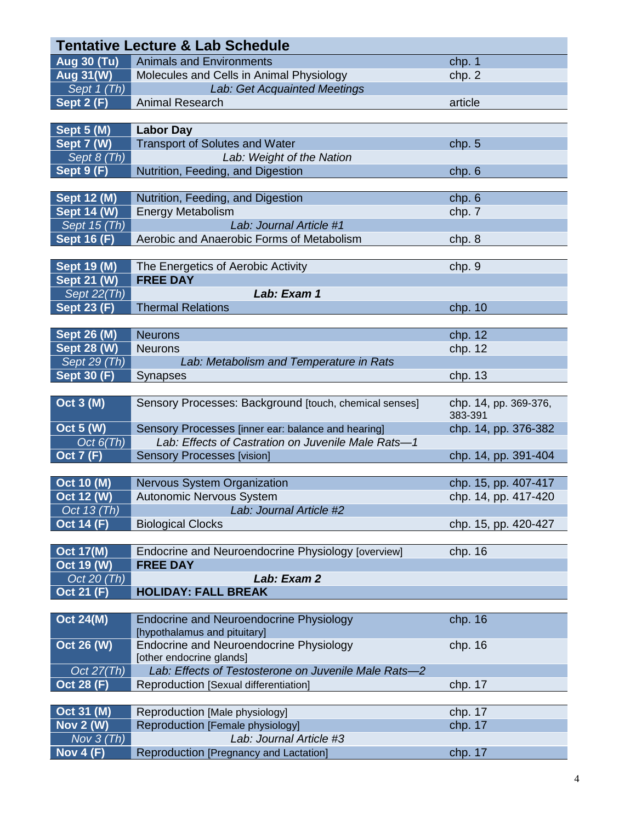|                                     | <b>Tentative Lecture &amp; Lab Schedule</b>                 |                       |
|-------------------------------------|-------------------------------------------------------------|-----------------------|
| <b>Aug 30 (Tu)</b>                  | <b>Animals and Environments</b>                             | chp. 1                |
| <b>Aug 31(W)</b>                    | Molecules and Cells in Animal Physiology                    | chp. 2                |
| Sept $1$ (Th)                       | Lab: Get Acquainted Meetings                                |                       |
| Sept $2(F)$                         | <b>Animal Research</b>                                      | article               |
|                                     |                                                             |                       |
| <b>Sept 5 (M)</b>                   | <b>Labor Day</b>                                            |                       |
| Sept 7 (W)                          | <b>Transport of Solutes and Water</b>                       | chp.5                 |
| Sept 8 (Th)                         | Lab: Weight of the Nation                                   |                       |
| <b>Sept 9 (F)</b>                   | Nutrition, Feeding, and Digestion                           | chp.6                 |
|                                     |                                                             |                       |
| <b>Sept 12 (M)</b>                  | Nutrition, Feeding, and Digestion                           | chp.6                 |
| <b>Sept 14 (W)</b>                  | <b>Energy Metabolism</b>                                    | chp. 7                |
| Sept 15 (Th)                        | Lab: Journal Article #1                                     |                       |
| <b>Sept 16 (F)</b>                  | Aerobic and Anaerobic Forms of Metabolism                   | chp. 8                |
|                                     |                                                             |                       |
| <b>Sept 19 (M)</b>                  | The Energetics of Aerobic Activity                          | chp. 9                |
| <b>Sept 21 (W)</b>                  | <b>FREE DAY</b>                                             |                       |
| Sept 22(Th)                         | Lab: Exam 1                                                 |                       |
| <b>Sept 23 (F)</b>                  | <b>Thermal Relations</b>                                    | chp. 10               |
|                                     |                                                             |                       |
| <b>Sept 26 (M)</b>                  | <b>Neurons</b>                                              | chp. 12               |
| <b>Sept 28 (W)</b>                  | <b>Neurons</b>                                              | chp. 12               |
| $\overline{\mathsf{Sept}\ 29}$ (Th) | Lab: Metabolism and Temperature in Rats                     |                       |
| <b>Sept 30 (F)</b>                  | Synapses                                                    | chp. 13               |
|                                     |                                                             |                       |
|                                     |                                                             |                       |
| <b>Oct 3 (M)</b>                    | Sensory Processes: Background [touch, chemical senses]      | chp. 14, pp. 369-376, |
|                                     |                                                             | 383-391               |
| <b>Oct 5 (W)</b>                    | Sensory Processes [inner ear: balance and hearing]          | chp. 14, pp. 376-382  |
| Oct $6(Th)$                         | Lab: Effects of Castration on Juvenile Male Rats-1          |                       |
| <b>Oct 7 (F)</b>                    | <b>Sensory Processes [vision]</b>                           | chp. 14, pp. 391-404  |
|                                     |                                                             |                       |
| <b>Oct 10 (M)</b>                   | Nervous System Organization                                 | chp. 15, pp. 407-417  |
| Oct 12 (W)                          | <b>Autonomic Nervous System</b>                             | chp. 14, pp. 417-420  |
| Oct 13 (Th)                         | Lab: Journal Article #2                                     |                       |
| <b>Oct 14 (F)</b>                   | <b>Biological Clocks</b>                                    | chp. 15, pp. 420-427  |
|                                     |                                                             |                       |
| <b>Oct 17(M)</b>                    | Endocrine and Neuroendocrine Physiology [overview]          | chp. 16               |
| Oct 19 (W)                          | <b>FREE DAY</b>                                             |                       |
| Oct 20 (Th)                         | Lab: Exam 2                                                 |                       |
| <b>Oct 21 (F)</b>                   | <b>HOLIDAY: FALL BREAK</b>                                  |                       |
|                                     |                                                             |                       |
| <b>Oct 24(M)</b>                    | <b>Endocrine and Neuroendocrine Physiology</b>              | chp. 16               |
|                                     | [hypothalamus and pituitary]                                |                       |
| Oct 26 (W)                          | <b>Endocrine and Neuroendocrine Physiology</b>              | chp. 16               |
|                                     | [other endocrine glands]                                    |                       |
| Oct $27(Th)$                        | Lab: Effects of Testosterone on Juvenile Male Rats-2        |                       |
| <b>Oct 28 (F)</b>                   | Reproduction [Sexual differentiation]                       | chp. 17               |
|                                     |                                                             |                       |
| Oct 31 (M)                          | Reproduction [Male physiology]                              | chp. 17               |
| <b>Nov 2 (W)</b><br>Nov $3$ (Th)    | Reproduction [Female physiology]<br>Lab: Journal Article #3 | chp. 17               |